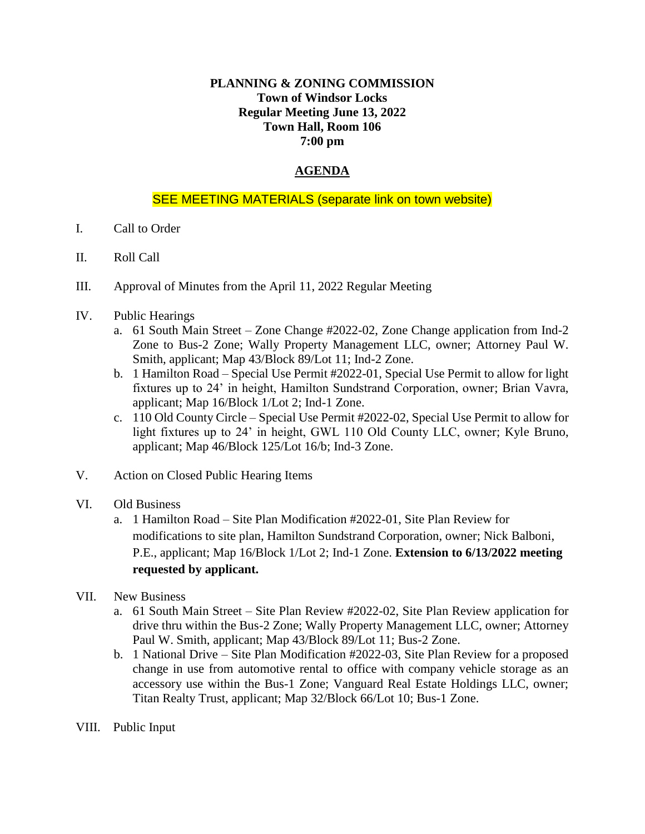## **PLANNING & ZONING COMMISSION Town of Windsor Locks Regular Meeting June 13, 2022 Town Hall, Room 106 7:00 pm**

## **AGENDA**

## SEE MEETING MATERIALS (separate link on town website)

- I. Call to Order
- II. Roll Call
- III. Approval of Minutes from the April 11, 2022 Regular Meeting
- IV. Public Hearings
	- a. 61 South Main Street Zone Change #2022-02, Zone Change application from Ind-2 Zone to Bus-2 Zone; Wally Property Management LLC, owner; Attorney Paul W. Smith, applicant; Map 43/Block 89/Lot 11; Ind-2 Zone.
	- b. 1 Hamilton Road Special Use Permit #2022-01, Special Use Permit to allow for light fixtures up to 24' in height, Hamilton Sundstrand Corporation, owner; Brian Vavra, applicant; Map 16/Block 1/Lot 2; Ind-1 Zone.
	- c. 110 Old County Circle Special Use Permit #2022-02, Special Use Permit to allow for light fixtures up to 24' in height, GWL 110 Old County LLC, owner; Kyle Bruno, applicant; Map 46/Block 125/Lot 16/b; Ind-3 Zone.
- V. Action on Closed Public Hearing Items
- VI. Old Business
	- a. 1 Hamilton Road Site Plan Modification #2022-01, Site Plan Review for modifications to site plan, Hamilton Sundstrand Corporation, owner; Nick Balboni, P.E., applicant; Map 16/Block 1/Lot 2; Ind-1 Zone. **Extension to 6/13/2022 meeting requested by applicant.**
- VII. New Business
	- a. 61 South Main Street Site Plan Review #2022-02, Site Plan Review application for drive thru within the Bus-2 Zone; Wally Property Management LLC, owner; Attorney Paul W. Smith, applicant; Map 43/Block 89/Lot 11; Bus-2 Zone.
	- b. 1 National Drive Site Plan Modification #2022-03, Site Plan Review for a proposed change in use from automotive rental to office with company vehicle storage as an accessory use within the Bus-1 Zone; Vanguard Real Estate Holdings LLC, owner; Titan Realty Trust, applicant; Map 32/Block 66/Lot 10; Bus-1 Zone.
- VIII. Public Input